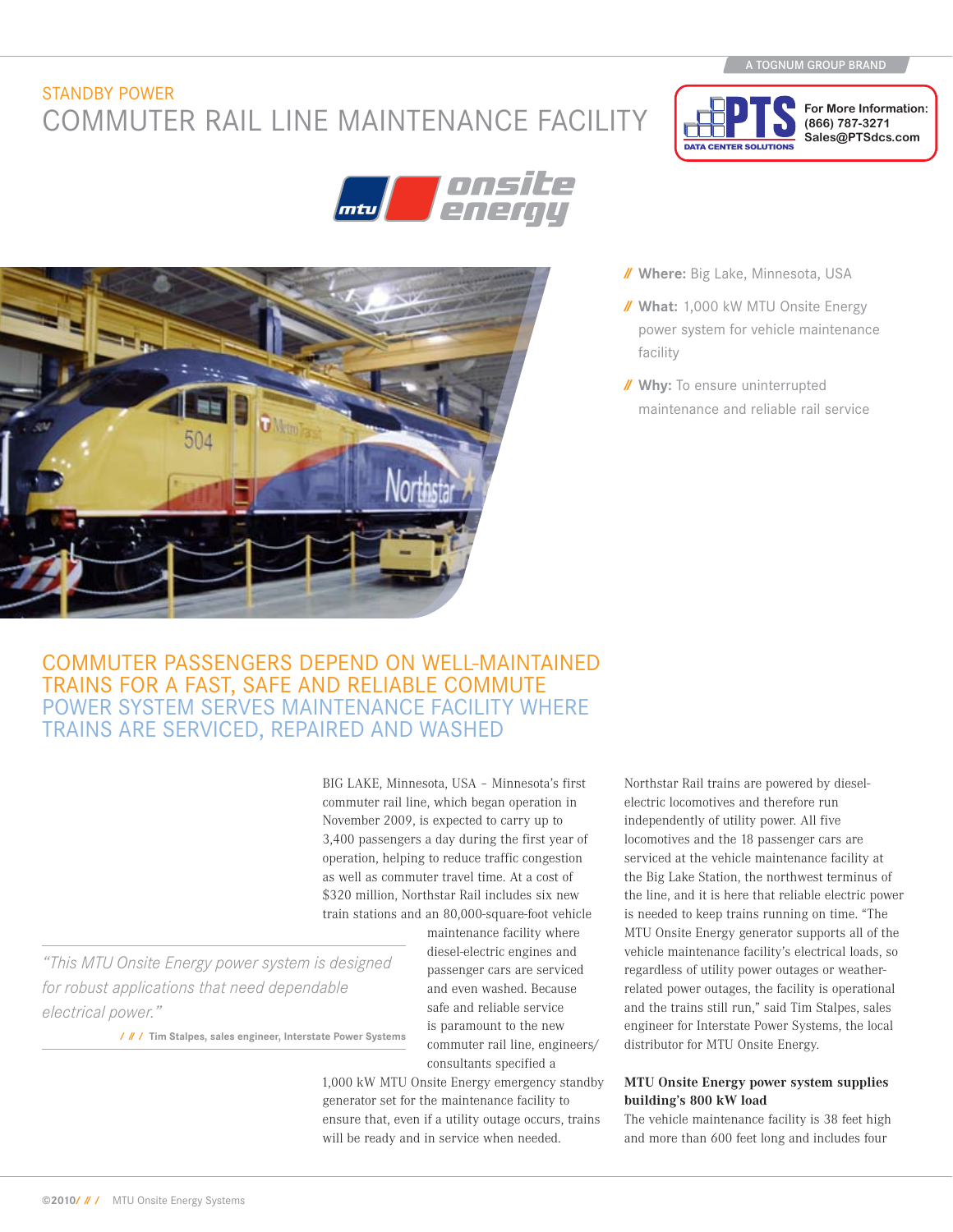**For More Information: (866) 787-3271 Sales@PTSdcs.com**

## STANDBY POWER COMMUTER RAIL LINE MAINTENANCE FACILITY





### **// Where:** Big Lake, Minnesota, USA

DATA CENTER SOLUTION

- **// What:** 1,000 kW MTU Onsite Energy power system for vehicle maintenance facility
- **// Why:** To ensure uninterrupted maintenance and reliable rail service

# COMMUTER PASSENGERS DEPEND ON WELL-MAINTAINED<br>TRAINS FOR A FAST, SAFE AND RELIABLE COMMUTE POWER SYSTEM SERVES MAINTENANCE FACILITY WHERE trains are serviced, repaired and washed

BIG LAKE, Minnesota, USA – Minnesota's first commuter rail line, which began operation in November 2009, is expected to carry up to 3,400 passengers a day during the first year of operation, helping to reduce traffic congestion as well as commuter travel time. At a cost of \$320 million, Northstar Rail includes six new train stations and an 80,000-square-foot vehicle

*"This MTU Onsite Energy power system is designed for robust applications that need dependable electrical power."*

**/ // / Tim Stalpes, sales engineer, Interstate Power Systems**

maintenance facility where diesel-electric engines and passenger cars are serviced and even washed. Because safe and reliable service is paramount to the new commuter rail line, engineers/ consultants specified a

1,000 kW MTU Onsite Energy emergency standby generator set for the maintenance facility to ensure that, even if a utility outage occurs, trains will be ready and in service when needed.

Northstar Rail trains are powered by dieselelectric locomotives and therefore run independently of utility power. All five locomotives and the 18 passenger cars are serviced at the vehicle maintenance facility at the Big Lake Station, the northwest terminus of the line, and it is here that reliable electric power is needed to keep trains running on time. "The MTU Onsite Energy generator supports all of the vehicle maintenance facility's electrical loads, so regardless of utility power outages or weatherrelated power outages, the facility is operational and the trains still run," said Tim Stalpes, sales engineer for Interstate Power Systems, the local distributor for MTU Onsite Energy.

### **MTU Onsite Energy power system supplies building's 800 kW load**

The vehicle maintenance facility is 38 feet high and more than 600 feet long and includes four